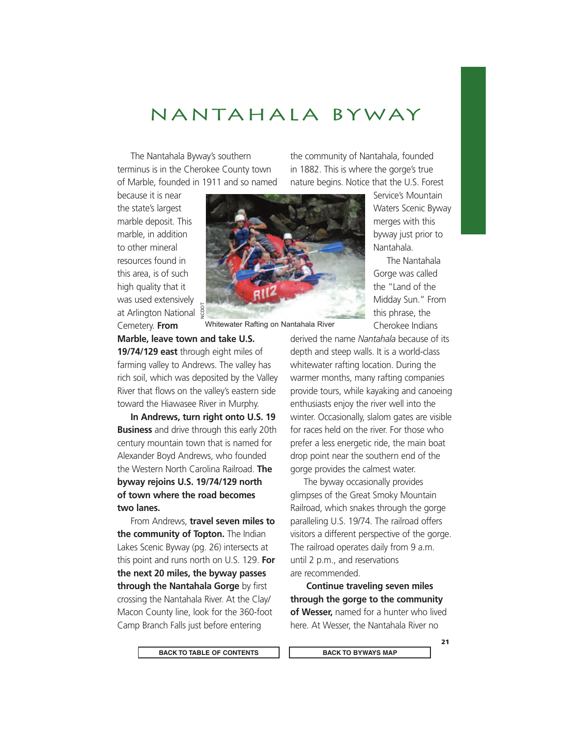## NANTAHALA BYWAY

The Nantahala Byway's southern terminus is in the Cherokee County town of Marble, founded in 1911 and so named

because it is near the state's largest marble deposit. This marble, in addition to other mineral resources found in this area, is of such high quality that it was used extensively at Arlington National  $\frac{5}{9}$ Cemetery. **From** 



Whitewater Rafting on Nantahala River

**Marble, leave town and take U.S.** 

**19/74/129 east** through eight miles of farming valley to Andrews. The valley has rich soil, which was deposited by the Valley River that flows on the valley's eastern side toward the Hiawasee River in Murphy.

**In Andrews, turn right onto U.S. 19 Business** and drive through this early 20th century mountain town that is named for Alexander Boyd Andrews, who founded the Western North Carolina Railroad. **The byway rejoins U.S. 19/74/129 north of town where the road becomes two lanes.**

From Andrews, **travel seven miles to the community of Topton.** The Indian Lakes Scenic Byway (pg. 26) intersects at this point and runs north on U.S. 129. **For the next 20 miles, the byway passes through the Nantahala Gorge** by first crossing the Nantahala River. At the Clay/ Macon County line, look for the 360-foot Camp Branch Falls just before entering

the community of Nantahala, founded in 1882. This is where the gorge's true nature begins. Notice that the U.S. Forest

> Service's Mountain Waters Scenic Byway merges with this byway just prior to Nantahala.

The Nantahala Gorge was called the "Land of the Midday Sun." From this phrase, the Cherokee Indians

derived the name *Nantahala* because of its depth and steep walls. It is a world-class whitewater rafting location. During the warmer months, many rafting companies provide tours, while kayaking and canoeing enthusiasts enjoy the river well into the winter. Occasionally, slalom gates are visible for races held on the river. For those who prefer a less energetic ride, the main boat drop point near the southern end of the gorge provides the calmest water.

The byway occasionally provides glimpses of the Great Smoky Mountain Railroad, which snakes through the gorge paralleling U.S. 19/74. The railroad offers visitors a different perspective of the gorge. The railroad operates daily from 9 a.m. until 2 p.m., and reservations are recommended.

 **Continue traveling seven miles through the gorge to the community of Wesser,** named for a hunter who lived here. At Wesser, the Nantahala River no

BACK TO TABLE OF CONTENTS  $\begin{array}{|c|c|c|c|c|}\n\hline\n\end{array}$  BACK TO BYWAYS MAP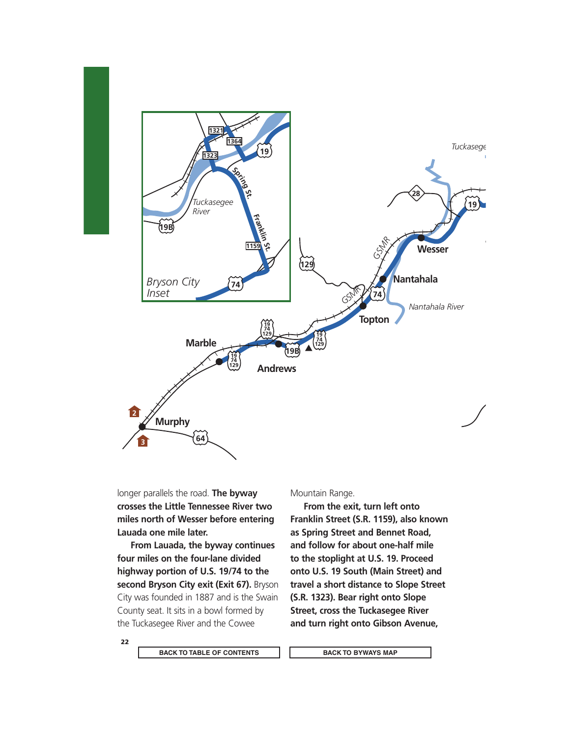

longer parallels the road. **The byway crosses the Little Tennessee River two miles north of Wesser before entering Lauada one mile later.** 

**From Lauada, the byway continues four miles on the four-lane divided highway portion of U.S. 19/74 to the second Bryson City exit (Exit 67).** Bryson City was founded in 1887 and is the Swain County seat. It sits in a bowl formed by the Tuckasegee River and the Cowee

Mountain Range.

**From the exit, turn left onto Franklin Street (S.R. 1159), also known as Spring Street and Bennet Road, and follow for about one-half mile to the stoplight at U.S. 19. Proceed onto U.S. 19 South (Main Street) and travel a short distance to Slope Street (S.R. 1323). Bear right onto Slope Street, cross the Tuckasegee River and turn right onto Gibson Avenue,** 

22

BACK TO TABLE OF CONTENTS  $\begin{array}{|c|c|c|c|}\n\hline\n\end{array}$  BACK TO BYWAYS MAP